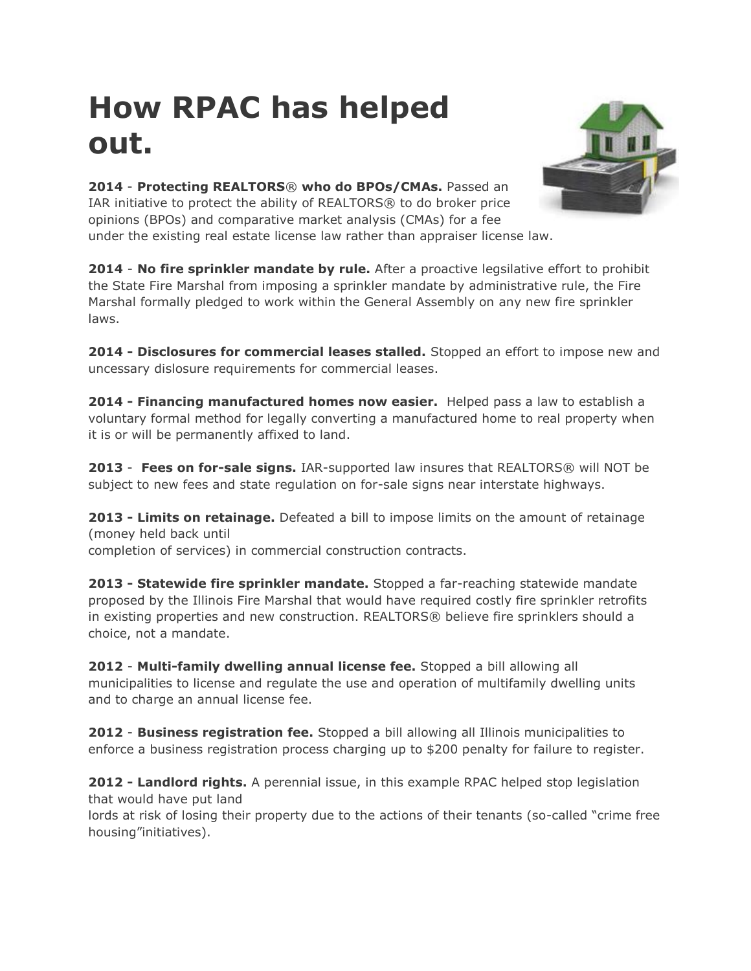## **How RPAC has helped out.**



**2014** - **Protecting REALTORS**® **who do BPOs/CMAs.** Passed an IAR initiative to protect the ability of REALTORS® to do broker price opinions (BPOs) and comparative market analysis (CMAs) for a fee under the existing real estate license law rather than appraiser license law.

**2014** - **No fire sprinkler mandate by rule.** After a proactive legsilative effort to prohibit the State Fire Marshal from imposing a sprinkler mandate by administrative rule, the Fire Marshal formally pledged to work within the General Assembly on any new fire sprinkler laws.

**2014 - Disclosures for commercial leases stalled.** Stopped an effort to impose new and uncessary dislosure requirements for commercial leases.

**2014 - Financing manufactured homes now easier.** Helped pass a law to establish a voluntary formal method for legally converting a manufactured home to real property when it is or will be permanently affixed to land.

**2013** - **Fees on for-sale signs.** IAR-supported law insures that REALTORS® will NOT be subject to new fees and state regulation on for-sale signs near interstate highways.

**2013 - Limits on retainage.** Defeated a bill to impose limits on the amount of retainage (money held back until completion of services) in commercial construction contracts.

**2013 - Statewide fire sprinkler mandate.** Stopped a far-reaching statewide mandate proposed by the Illinois Fire Marshal that would have required costly fire sprinkler retrofits in existing properties and new construction. REALTORS® believe fire sprinklers should a choice, not a mandate.

**2012** - **Multi-family dwelling annual license fee.** Stopped a bill allowing all municipalities to license and regulate the use and operation of multifamily dwelling units and to charge an annual license fee.

**2012** - **Business registration fee.** Stopped a bill allowing all Illinois municipalities to enforce a business registration process charging up to \$200 penalty for failure to register.

**2012 - Landlord rights.** A perennial issue, in this example RPAC helped stop legislation that would have put land

lords at risk of losing their property due to the actions of their tenants (so-called "crime free housing"initiatives).